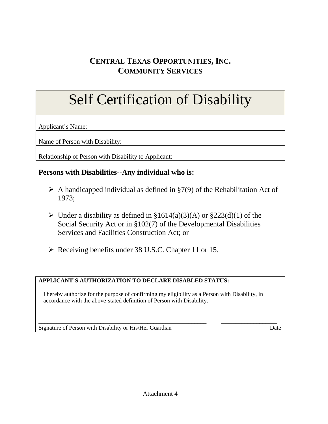# **CENTRAL TEXAS OPPORTUNITIES, INC. COMMUNITY SERVICES**

# Self Certification of Disability

Applicant's Name:

Name of Person with Disability:

Relationship of Person with Disability to Applicant:

# **Persons with Disabilities--Any individual who is:**

- $\triangleright$  A handicapped individual as defined in §7(9) of the Rehabilitation Act of 1973;
- $\triangleright$  Under a disability as defined in §1614(a)(3)(A) or §223(d)(1) of the Social Security Act or in §102(7) of the Developmental Disabilities Services and Facilities Construction Act; or
- ▶ Receiving benefits under 38 U.S.C. Chapter 11 or 15.

## **APPLICANT'S AUTHORIZATION TO DECLARE DISABLED STATUS:**

I hereby authorize for the purpose of confirming my eligibility as a Person with Disability, in accordance with the above-stated definition of Person with Disability.

\_\_\_\_\_\_\_\_\_\_\_\_\_\_\_\_\_\_\_\_\_\_\_\_\_\_\_\_\_\_\_\_\_\_\_\_\_\_\_\_\_\_\_\_\_\_\_\_\_\_\_\_\_\_\_\_\_ \_\_\_\_\_\_\_\_\_\_\_\_\_\_\_\_\_\_\_ Signature of Person with Disability or His/Her Guardian Date